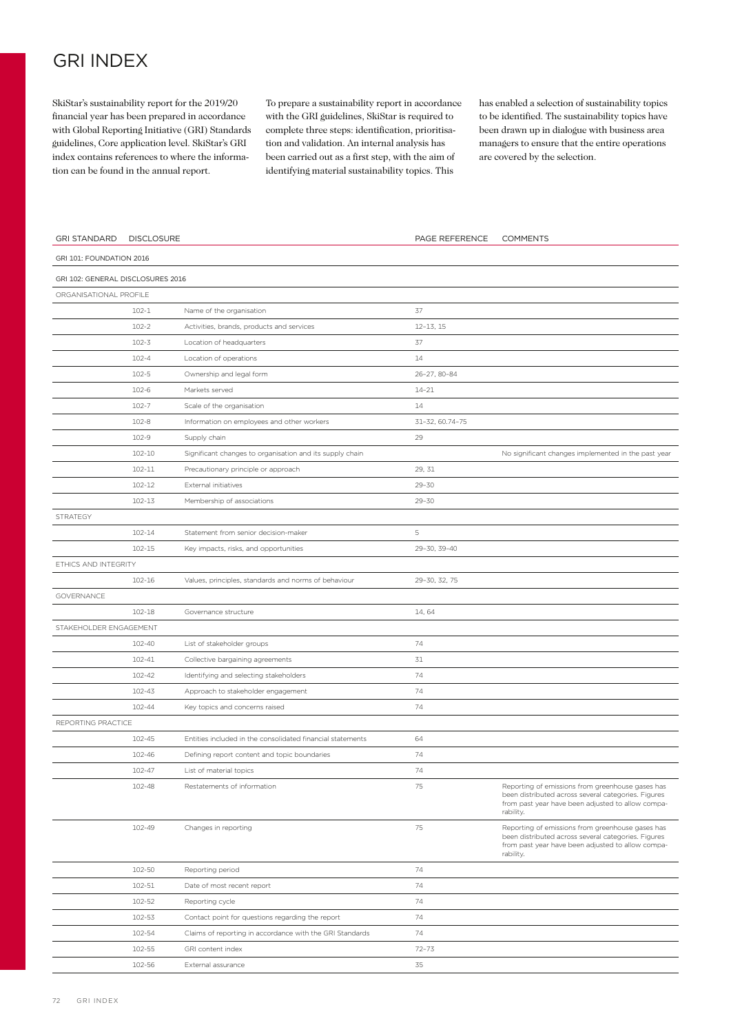## GRI INDEX

SkiStar's sustainability report for the 2019/20 financial year has been prepared in accordance with Global Reporting Initiative (GRI) Standards guidelines, Core application level. SkiStar's GRI index contains references to where the information can be found in the annual report.

To prepare a sustainability report in accordance with the GRI guidelines, SkiStar is required to complete three steps: identification, prioritisation and validation. An internal analysis has been carried out as a first step, with the aim of identifying material sustainability topics. This

has enabled a selection of sustainability topics to be identified. The sustainability topics have been drawn up in dialogue with business area managers to ensure that the entire operations are covered by the selection.

| <b>GRI STANDARD</b>               | <b>DISCLOSURE</b> |                                                            | PAGE REFERENCE  | <b>COMMENTS</b>                                                                                                                                                           |
|-----------------------------------|-------------------|------------------------------------------------------------|-----------------|---------------------------------------------------------------------------------------------------------------------------------------------------------------------------|
| GRI 101: FOUNDATION 2016          |                   |                                                            |                 |                                                                                                                                                                           |
| GRI 102: GENERAL DISCLOSURES 2016 |                   |                                                            |                 |                                                                                                                                                                           |
| ORGANISATIONAL PROFILE            |                   |                                                            |                 |                                                                                                                                                                           |
|                                   | $102 - 1$         | Name of the organisation                                   | 37              |                                                                                                                                                                           |
|                                   | $102 - 2$         | Activities, brands, products and services                  | $12 - 13, 15$   |                                                                                                                                                                           |
|                                   | $102 - 3$         | Location of headquarters                                   | 37              |                                                                                                                                                                           |
|                                   | $102 - 4$         | Location of operations                                     | 14              |                                                                                                                                                                           |
|                                   | $102 - 5$         | Ownership and legal form                                   | 26-27, 80-84    |                                                                                                                                                                           |
|                                   | $102 - 6$         | Markets served                                             | 14-21           |                                                                                                                                                                           |
|                                   | $102 - 7$         | Scale of the organisation                                  | 14              |                                                                                                                                                                           |
|                                   | $102 - 8$         | Information on employees and other workers                 | 31-32, 60.74-75 |                                                                                                                                                                           |
|                                   | 102-9             | Supply chain                                               | 29              |                                                                                                                                                                           |
|                                   | $102 - 10$        | Significant changes to organisation and its supply chain   |                 | No significant changes implemented in the past year                                                                                                                       |
|                                   | 102-11            | Precautionary principle or approach                        | 29, 31          |                                                                                                                                                                           |
|                                   | 102-12            | External initiatives                                       | $29 - 30$       |                                                                                                                                                                           |
|                                   | 102-13            | Membership of associations                                 | $29 - 30$       |                                                                                                                                                                           |
| STRATEGY                          |                   |                                                            |                 |                                                                                                                                                                           |
|                                   | 102-14            | Statement from senior decision-maker                       | 5               |                                                                                                                                                                           |
|                                   | $102 - 15$        | Key impacts, risks, and opportunities                      | 29-30, 39-40    |                                                                                                                                                                           |
| ETHICS AND INTEGRITY              |                   |                                                            |                 |                                                                                                                                                                           |
|                                   | $102 - 16$        | Values, principles, standards and norms of behaviour       | 29-30, 32, 75   |                                                                                                                                                                           |
| GOVERNANCE                        |                   |                                                            |                 |                                                                                                                                                                           |
|                                   | $102 - 18$        | Governance structure                                       | 14,64           |                                                                                                                                                                           |
| STAKEHOLDER ENGAGEMENT            |                   |                                                            |                 |                                                                                                                                                                           |
|                                   | 102-40            | List of stakeholder groups                                 | 74              |                                                                                                                                                                           |
|                                   | 102-41            | Collective bargaining agreements                           | 31              |                                                                                                                                                                           |
|                                   | 102-42            | Identifying and selecting stakeholders                     | 74              |                                                                                                                                                                           |
|                                   | 102-43            | Approach to stakeholder engagement                         | 74              |                                                                                                                                                                           |
|                                   | 102-44            | Key topics and concerns raised                             | 74              |                                                                                                                                                                           |
| REPORTING PRACTICE                |                   |                                                            |                 |                                                                                                                                                                           |
|                                   | 102-45            | Entities included in the consolidated financial statements | 64              |                                                                                                                                                                           |
|                                   | 102-46            | Defining report content and topic boundaries               | 74              |                                                                                                                                                                           |
|                                   | 102-47            | List of material topics                                    | 74              |                                                                                                                                                                           |
|                                   | 102-48            | Restatements of information                                | 75              | Reporting of emissions from greenhouse gases has<br>been distributed across several categories. Figures<br>from past year have been adjusted to allow compa-<br>rability. |
|                                   | 102-49            | Changes in reporting                                       | 75              | Reporting of emissions from greenhouse gases has<br>been distributed across several categories. Figures<br>from past year have been adjusted to allow compa-<br>rability. |
|                                   | 102-50            | Reporting period                                           | 74              |                                                                                                                                                                           |
|                                   | 102-51            | Date of most recent report                                 | 74              |                                                                                                                                                                           |
|                                   | 102-52            | Reporting cycle                                            | 74              |                                                                                                                                                                           |
|                                   | 102-53            | Contact point for questions regarding the report           | 74              |                                                                                                                                                                           |
|                                   | 102-54            | Claims of reporting in accordance with the GRI Standards   | 74              |                                                                                                                                                                           |
|                                   | 102-55            | GRI content index                                          | $72 - 73$       |                                                                                                                                                                           |
|                                   | 102-56            | External assurance                                         | 35              |                                                                                                                                                                           |